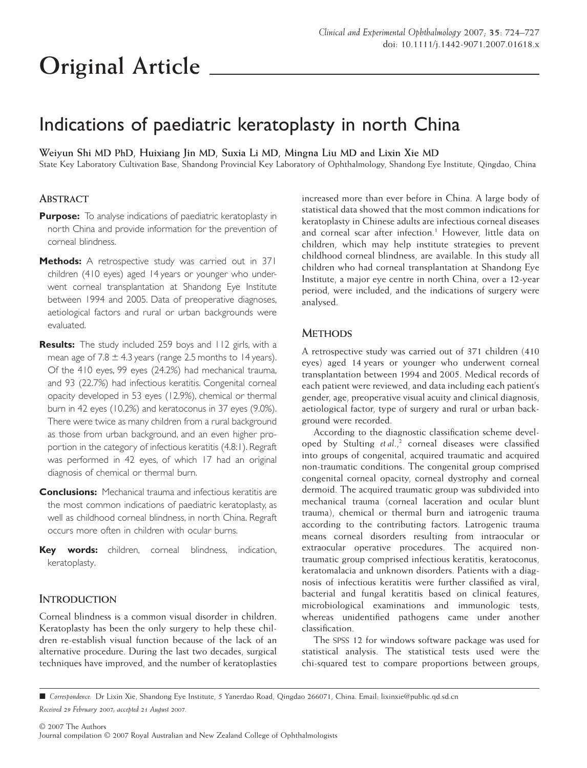# **Original Article**

# Indications of paediatric keratoplasty in north China

**Weiyun Shi MD PhD, Huixiang Jin MD, Suxia Li MD, Mingna Liu MD and Lixin Xie MD**

State Key Laboratory Cultivation Base, Shandong Provincial Key Laboratory of Ophthalmology, Shandong Eye Institute, Qingdao, China

## **ABSTRACT**

- **Purpose:** To analyse indications of paediatric keratoplasty in north China and provide information for the prevention of corneal blindness.
- **Methods:** A retrospective study was carried out in 371 children (410 eyes) aged 14 years or younger who underwent corneal transplantation at Shandong Eye Institute between 1994 and 2005. Data of preoperative diagnoses, aetiological factors and rural or urban backgrounds were evaluated.
- **Results:** The study included 259 boys and 112 girls, with a mean age of  $7.8 \pm 4.3$  years (range 2.5 months to 14 years). Of the 410 eyes, 99 eyes (24.2%) had mechanical trauma, and 93 (22.7%) had infectious keratitis. Congenital corneal opacity developed in 53 eyes (12.9%), chemical or thermal burn in 42 eyes (10.2%) and keratoconus in 37 eyes (9.0%). There were twice as many children from a rural background as those from urban background, and an even higher proportion in the category of infectious keratitis (4.8:1). Regraft was performed in 42 eyes, of which 17 had an original diagnosis of chemical or thermal burn.
- **Conclusions:** Mechanical trauma and infectious keratitis are the most common indications of paediatric keratoplasty, as well as childhood corneal blindness, in north China. Regraft occurs more often in children with ocular burns.
- **Key words:** children, corneal blindness, indication, keratoplasty.

# **INTRODUCTION**

Corneal blindness is a common visual disorder in children. Keratoplasty has been the only surgery to help these children re-establish visual function because of the lack of an alternative procedure. During the last two decades, surgical techniques have improved, and the number of keratoplasties

increased more than ever before in China. A large body of statistical data showed that the most common indications for keratoplasty in Chinese adults are infectious corneal diseases and corneal scar after infection.<sup>1</sup> However, little data on children, which may help institute strategies to prevent childhood corneal blindness, are available. In this study all children who had corneal transplantation at Shandong Eye Institute, a major eye centre in north China, over a 12-year period, were included, and the indications of surgery were analysed.

## **METHODS**

A retrospective study was carried out of 371 children (410 eyes) aged 14 years or younger who underwent corneal transplantation between 1994 and 2005. Medical records of each patient were reviewed, and data including each patient's gender, age, preoperative visual acuity and clinical diagnosis, aetiological factor, type of surgery and rural or urban background were recorded.

According to the diagnostic classification scheme developed by Stulting *et al.*,<sup>2</sup> corneal diseases were classified into groups of congenital, acquired traumatic and acquired non-traumatic conditions. The congenital group comprised congenital corneal opacity, corneal dystrophy and corneal dermoid. The acquired traumatic group was subdivided into mechanical trauma (corneal laceration and ocular blunt trauma), chemical or thermal burn and iatrogenic trauma according to the contributing factors. Latrogenic trauma means corneal disorders resulting from intraocular or extraocular operative procedures. The acquired nontraumatic group comprised infectious keratitis, keratoconus, keratomalacia and unknown disorders. Patients with a diagnosis of infectious keratitis were further classified as viral, bacterial and fungal keratitis based on clinical features, microbiological examinations and immunologic tests, whereas unidentified pathogens came under another classification.

The SPSS 12 for windows software package was used for statistical analysis. The statistical tests used were the chi-squared test to compare proportions between groups,

<sup>!</sup> *Correspondence:* Dr Lixin Xie, Shandong Eye Institute, 5 Yanerdao Road, Qingdao 266071, China. Email: [lixinxie@public.qd.sd.cn](mailto:lixinxie@public.qd.sd.cn)

*Received 29 February 2007; accepted 21 August 2007.*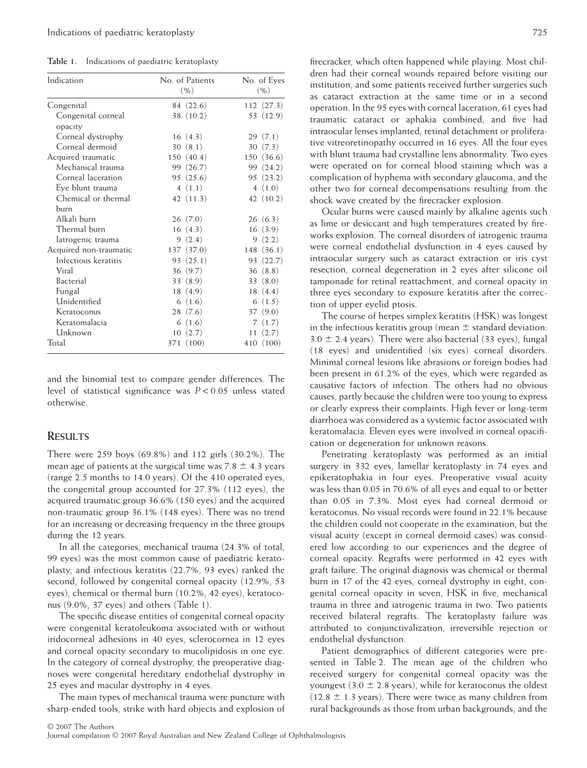**Table 1.** Indications of paediatric keratoplasty

| Indication                    | No. of Patients<br>( %) | No. of Eyes<br>( %) |
|-------------------------------|-------------------------|---------------------|
| Congenital                    | 84 (22.6)               | 112 (27.3)          |
| Congenital corneal<br>opacity | 38 (10.2)               | 53 (12.9)           |
| Corneal dystrophy             | 16(4.3)                 | 29(7.1)             |
| Corneal dermoid               | 30(8.1)                 | 30(7.3)             |
| Acquired traumatic            | 150(40.4)               | 150 (36.6)          |
| Mechanical trauma             | 99 (26.7)               | 99 (24.2)           |
| Corneal laceration            | 95(25.6)                | 95(23.2)            |
| Eye blunt trauma              | 4(1.1)                  | 4(1.0)              |
| Chemical or thermal           | 42 (11.3)               | 42 $(10.2)$         |
| burn                          |                         |                     |
| Alkali burn                   | 26(7.0)                 | 26(6.3)             |
| Thermal burn                  | 16(4.3)                 | 16(3.9)             |
| latrogenic trauma             | 9(2.4)                  | 9(2.2)              |
| Acquired non-traumatic        | 137 (37.0)              | 148 (36.1)          |
| Infectious keratitis          | 93 (25.1)               | 93 (22.7)           |
| Viral                         | 36(9.7)                 | 36(8.8)             |
| Bacterial                     | 33 (8.9)                | 33(8.0)             |
| Fungal                        | 18(4.9)                 | 18(4.4)             |
| Unidentified                  | 6(1.6)                  | 6(1.5)              |
| Keratoconus                   | 28(7.6)                 | 37(9.0)             |
| Keratomalacia                 | 6(1.6)                  | 7(1.7)              |
| Unknown                       | 10<br>(2.7)             | 11(2.7)             |
| Total                         | (100)<br>371            | 410 (100)           |

and the binomial test to compare gender differences. The level of statistical significance was *P* < 0.05 unless stated otherwise.

#### **RESULTS**

There were 259 boys (69.8%) and 112 girls (30.2%). The mean age of patients at the surgical time was  $7.8 \pm 4.3$  years (range 2.5 months to 14.0 years). Of the 410 operated eyes, the congenital group accounted for 27.3% (112 eyes), the acquired traumatic group 36.6% (150 eyes) and the acquired non-traumatic group 36.1% (148 eyes). There was no trend for an increasing or decreasing frequency in the three groups during the 12 years.

In all the categories, mechanical trauma (24.3% of total, 99 eyes) was the most common cause of paediatric keratoplasty, and infectious keratitis (22.7%, 93 eyes) ranked the second, followed by congenital corneal opacity (12.9%, 53 eyes), chemical or thermal burn (10.2%, 42 eyes), keratoconus (9.0%, 37 eyes) and others (Table 1).

The specific disease entities of congenital corneal opacity were congenital keratoleukoma associated with or without iridocorneal adhesions in 40 eyes, sclerocornea in 12 eyes and corneal opacity secondary to mucolipidosis in one eye. In the category of corneal dystrophy, the preoperative diagnoses were congenital hereditary endothelial dystrophy in 25 eyes and macular dystrophy in 4 eyes.

The main types of mechanical trauma were puncture with sharp-ended tools, strike with hard objects and explosion of firecracker, which often happened while playing. Most children had their corneal wounds repaired before visiting our institution, and some patients received further surgeries such as cataract extraction at the same time or in a second operation. In the 95 eyes with corneal laceration, 61 eyes had traumatic cataract or aphakia combined, and five had intraocular lenses implanted; retinal detachment or proliferative vitreoretinopathy occurred in 16 eyes. All the four eyes with blunt trauma had crystalline lens abnormality. Two eyes were operated on for corneal blood staining which was a complication of hyphema with secondary glaucoma, and the other two for corneal decompensations resulting from the shock wave created by the firecracker explosion.

Ocular burns were caused mainly by alkaline agents such as lime or desiccant and high temperatures created by fireworks explosion. The corneal disorders of iatrogenic trauma were corneal endothelial dysfunction in 4 eyes caused by intraocular surgery such as cataract extraction or iris cyst resection, corneal degeneration in 2 eyes after silicone oil tamponade for retinal reattachment, and corneal opacity in three eyes secondary to exposure keratitis after the correction of upper eyelid ptosis.

The course of herpes simplex keratitis (HSK) was longest in the infectious keratitis group (mean  $\pm$  standard deviation:  $3.0 \pm 2.4$  years). There were also bacterial (33 eyes), fungal (18 eyes) and unidentified (six eyes) corneal disorders. Minimal corneal lesions like abrasions or foreign bodies had been present in 61.2% of the eyes, which were regarded as causative factors of infection. The others had no obvious causes, partly because the children were too young to express or clearly express their complaints. High fever or long-term diarrhoea was considered as a systemic factor associated with keratomalacia. Eleven eyes were involved in corneal opacification or degeneration for unknown reasons.

Penetrating keratoplasty was performed as an initial surgery in 332 eyes, lamellar keratoplasty in 74 eyes and epikeratophakia in four eyes. Preoperative visual acuity was less than 0.05 in 70.6% of all eyes and equal to or better than 0.05 in 7.3%. Most eyes had corneal dermoid or keratoconus. No visual records were found in 22.1% because the children could not cooperate in the examination, but the visual acuity (except in corneal dermoid cases) was considered low according to our experiences and the degree of corneal opacity. Regrafts were performed in 42 eyes with graft failure. The original diagnosis was chemical or thermal burn in 17 of the 42 eyes, corneal dystrophy in eight, congenital corneal opacity in seven, HSK in five, mechanical trauma in three and iatrogenic trauma in two. Two patients received bilateral regrafts. The keratoplasty failure was attributed to conjunctivalization, irreversible rejection or endothelial dysfunction.

Patient demographics of different categories were presented in Table 2. The mean age of the children who received surgery for congenital corneal opacity was the youngest (3.0  $\pm$  2.8 years), while for keratoconus the oldest  $(12.8 \pm 1.3 \text{ years})$ . There were twice as many children from rural backgrounds as those from urban backgrounds, and the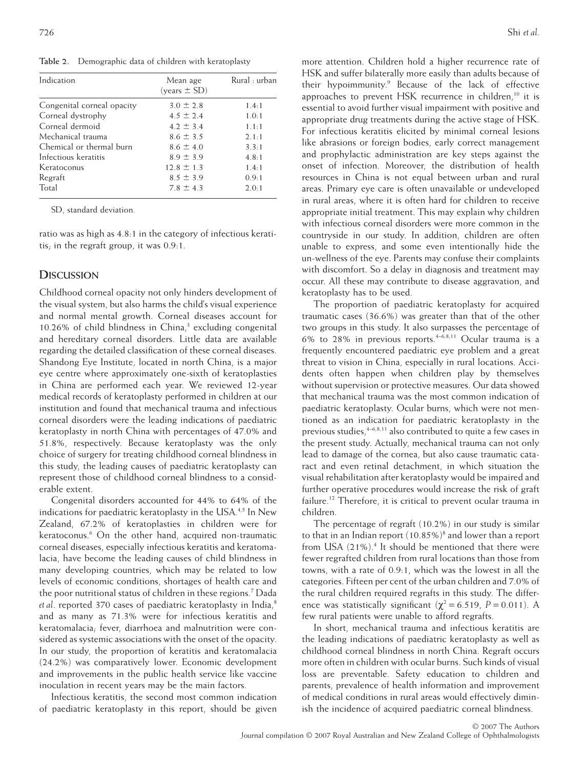**Table 2.** Demographic data of children with keratoplasty

| Indication                 | Mean age<br>(years ± SD) | Rural : urban |  |
|----------------------------|--------------------------|---------------|--|
| Congenital corneal opacity | $3.0 \pm 2.8$            | 1.4:1         |  |
| Corneal dystrophy          | $4.5 \pm 2.4$            | 1.0:1         |  |
| Corneal dermoid            | $42 + 34$                | 1.1:1         |  |
| Mechanical trauma          | $86 + 35$                | 2.1:1         |  |
| Chemical or thermal burn   | $8.6 \pm 4.0$            | $3.3 \cdot 1$ |  |
| Infectious keratitis       | $8.9 \pm 3.9$            | 4.8:1         |  |
| Keratoconus                | $12.8 \pm 1.3$           | 1.4:1         |  |
| Regraft                    | $8.5 \pm 3.9$            | 0.9:1         |  |
| Total                      | $78 + 43$                | 2.0:1         |  |

SD, standard deviation.

ratio was as high as 4.8:1 in the category of infectious keratitis; in the regraft group, it was 0.9:1.

#### **DISCUSSION**

Childhood corneal opacity not only hinders development of the visual system, but also harms the child's visual experience and normal mental growth. Corneal diseases account for 10.26% of child blindness in China, $3$  excluding congenital and hereditary corneal disorders. Little data are available regarding the detailed classification of these corneal diseases. Shandong Eye Institute, located in north China, is a major eye centre where approximately one-sixth of keratoplasties in China are performed each year. We reviewed 12-year medical records of keratoplasty performed in children at our institution and found that mechanical trauma and infectious corneal disorders were the leading indications of paediatric keratoplasty in north China with percentages of 47.0% and 51.8%, respectively. Because keratoplasty was the only choice of surgery for treating childhood corneal blindness in this study, the leading causes of paediatric keratoplasty can represent those of childhood corneal blindness to a considerable extent.

Congenital disorders accounted for 44% to 64% of the indications for paediatric keratoplasty in the USA.<sup>4,5</sup> In New Zealand, 67.2% of keratoplasties in children were for keratoconus.<sup>6</sup> On the other hand, acquired non-traumatic corneal diseases, especially infectious keratitis and keratomalacia, have become the leading causes of child blindness in many developing countries, which may be related to low levels of economic conditions, shortages of health care and the poor nutritional status of children in these regions.7 Dada et al. reported 370 cases of paediatric keratoplasty in India,<sup>8</sup> and as many as 71.3% were for infectious keratitis and keratomalacia; fever, diarrhoea and malnutrition were considered as systemic associations with the onset of the opacity. In our study, the proportion of keratitis and keratomalacia (24.2%) was comparatively lower. Economic development and improvements in the public health service like vaccine inoculation in recent years may be the main factors.

Infectious keratitis, the second most common indication of paediatric keratoplasty in this report, should be given

more attention. Children hold a higher recurrence rate of HSK and suffer bilaterally more easily than adults because of their hypoimmunity.<sup>9</sup> Because of the lack of effective approaches to prevent HSK recurrence in children,<sup>10</sup> it is essential to avoid further visual impairment with positive and appropriate drug treatments during the active stage of HSK. For infectious keratitis elicited by minimal corneal lesions like abrasions or foreign bodies, early correct management and prophylactic administration are key steps against the onset of infection. Moreover, the distribution of health resources in China is not equal between urban and rural areas. Primary eye care is often unavailable or undeveloped in rural areas, where it is often hard for children to receive appropriate initial treatment. This may explain why children with infectious corneal disorders were more common in the countryside in our study. In addition, children are often unable to express, and some even intentionally hide the un-wellness of the eye. Parents may confuse their complaints with discomfort. So a delay in diagnosis and treatment may occur. All these may contribute to disease aggravation, and keratoplasty has to be used.

The proportion of paediatric keratoplasty for acquired traumatic cases (36.6%) was greater than that of the other two groups in this study. It also surpasses the percentage of 6% to 28% in previous reports.<sup>4-6,8,11</sup> Ocular trauma is a frequently encountered paediatric eye problem and a great threat to vision in China, especially in rural locations. Accidents often happen when children play by themselves without supervision or protective measures. Our data showed that mechanical trauma was the most common indication of paediatric keratoplasty. Ocular burns, which were not mentioned as an indication for paediatric keratoplasty in the previous studies,  $4-6,8,11$  also contributed to quite a few cases in the present study. Actually, mechanical trauma can not only lead to damage of the cornea, but also cause traumatic cataract and even retinal detachment, in which situation the visual rehabilitation after keratoplasty would be impaired and further operative procedures would increase the risk of graft failure.<sup>12</sup> Therefore, it is critical to prevent ocular trauma in children.

The percentage of regraft (10.2%) in our study is similar to that in an Indian report  $(10.85\%)^8$  and lower than a report from USA (21%).<sup>4</sup> It should be mentioned that there were fewer regrafted children from rural locations than those from towns, with a rate of 0.9:1, which was the lowest in all the categories. Fifteen per cent of the urban children and 7.0% of the rural children required regrafts in this study. The difference was statistically significant ( $\chi^2$  = 6.519, *P* = 0.011). A few rural patients were unable to afford regrafts.

In short, mechanical trauma and infectious keratitis are the leading indications of paediatric keratoplasty as well as childhood corneal blindness in north China. Regraft occurs more often in children with ocular burns. Such kinds of visual loss are preventable. Safety education to children and parents, prevalence of health information and improvement of medical conditions in rural areas would effectively diminish the incidence of acquired paediatric corneal blindness.